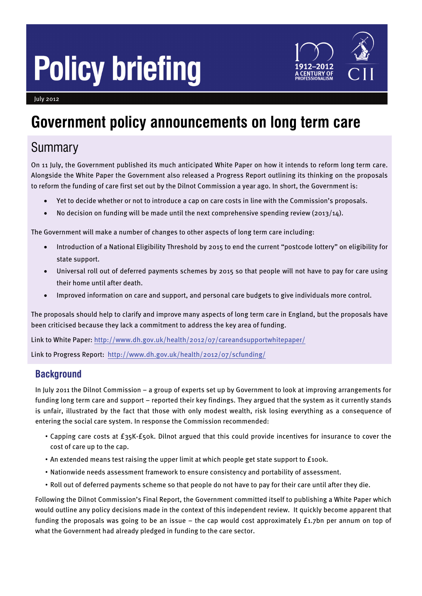# **Policy briefing**



July 2012

# **Government policy announcements on long term care**

# Summary

On 11 July, the Government published its much anticipated White Paper on how it intends to reform long term care. Alongside the White Paper the Government also released a Progress Report outlining its thinking on the proposals to reform the funding of care first set out by the Dilnot Commission a year ago. In short, the Government is:

- Yet to decide whether or not to introduce a cap on care costs in line with the Commission's proposals.
- No decision on funding will be made until the next comprehensive spending review (2013/14).

The Government will make a number of changes to other aspects of long term care including:

- Introduction of a National Eligibility Threshold by 2015 to end the current "postcode lottery" on eligibility for state support.
- Universal roll out of deferred payments schemes by 2015 so that people will not have to pay for care using their home until after death.
- Improved information on care and support, and personal care budgets to give individuals more control.

The proposals should help to clarify and improve many aspects of long term care in England, but the proposals have been criticised because they lack a commitment to address the key area of funding.

Link to White Paper:<http://www.dh.gov.uk/health/2012/07/careandsupportwhitepaper/>

Link to Progress Report: <http://www.dh.gov.uk/health/2012/07/scfunding/>

# **Background**

In July 2011 the Dilnot Commission – a group of experts set up by Government to look at improving arrangements for funding long term care and support – reported their key findings. They argued that the system as it currently stands is unfair, illustrated by the fact that those with only modest wealth, risk losing everything as a consequence of entering the social care system. In response the Commission recommended:

- Capping care costs at £35K-£50k. Dilnot argued that this could provide incentives for insurance to cover the cost of care up to the cap.
- An extended means test raising the upper limit at which people get state support to £100k.
- Nationwide needs assessment framework to ensure consistency and portability of assessment.
- Roll out of deferred payments scheme so that people do not have to pay for their care until after they die.

Following the Dilnot Commission's Final Report, the Government committed itself to publishing a White Paper which would outline any policy decisions made in the context of this independent review. It quickly become apparent that funding the proposals was going to be an issue – the cap would cost approximately £1.7bn per annum on top of what the Government had already pledged in funding to the care sector.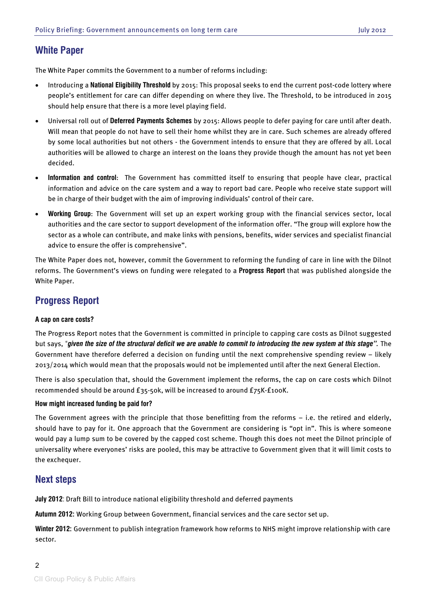# **White Paper**

The White Paper commits the Government to a number of reforms including:

- Introducing a **National Eligibility Threshold** by 2015: This proposal seeks to end the current post-code lottery where people's entitlement for care can differ depending on where they live. The Threshold, to be introduced in 2015 should help ensure that there is a more level playing field.
- Universal roll out of **Deferred Payments Schemes** by 2015: Allows people to defer paying for care until after death. Will mean that people do not have to sell their home whilst they are in care. Such schemes are already offered by some local authorities but not others - the Government intends to ensure that they are offered by all. Local authorities will be allowed to charge an interest on the loans they provide though the amount has not yet been decided.
- **Information and control**: The Government has committed itself to ensuring that people have clear, practical information and advice on the care system and a way to report bad care. People who receive state support will be in charge of their budget with the aim of improving individuals' control of their care.
- **Working Group**: The Government will set up an expert working group with the financial services sector, local authorities and the care sector to support development of the information offer. "The group will explore how the sector as a whole can contribute, and make links with pensions, benefits, wider services and specialist financial advice to ensure the offer is comprehensive".

The White Paper does not, however, commit the Government to reforming the funding of care in line with the Dilnot reforms. The Government's views on funding were relegated to a **Progress Report** that was published alongside the White Paper.

# **Progress Report**

### **A cap on care costs?**

The Progress Report notes that the Government is committed in principle to capping care costs as Dilnot suggested but says, "*given the size of the structural deficit we are unable to commit to introducing the new system at this stage".* The Government have therefore deferred a decision on funding until the next comprehensive spending review – likely 2013/2014 which would mean that the proposals would not be implemented until after the next General Election.

There is also speculation that, should the Government implement the reforms, the cap on care costs which Dilnot recommended should be around £35-50k, will be increased to around £75K-£100K.

#### **How might increased funding be paid for?**

The Government agrees with the principle that those benefitting from the reforms – i.e. the retired and elderly, should have to pay for it. One approach that the Government are considering is "opt in". This is where someone would pay a lump sum to be covered by the capped cost scheme. Though this does not meet the Dilnot principle of universality where everyones' risks are pooled, this may be attractive to Government given that it will limit costs to the exchequer.

## **Next steps**

**July 2012**: Draft Bill to introduce national eligibility threshold and deferred payments

**Autumn 2012:** Working Group between Government, financial services and the care sector set up.

**Winter 2012:** Government to publish integration framework how reforms to NHS might improve relationship with care sector.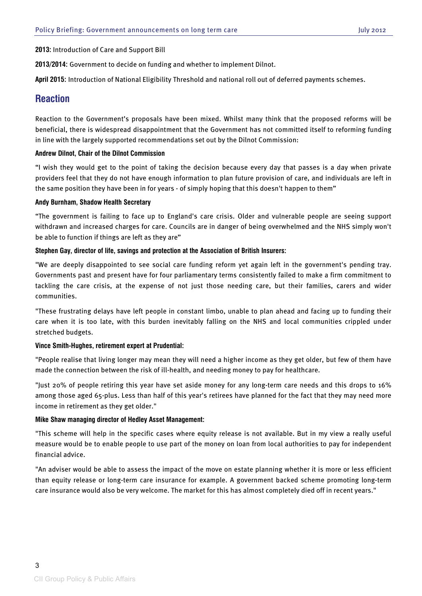**2013:** Introduction of Care and Support Bill

**2013/2014:** Government to decide on funding and whether to implement Dilnot.

**April 2015:** Introduction of National Eligibility Threshold and national roll out of deferred payments schemes.

## **Reaction**

Reaction to the Government's proposals have been mixed. Whilst many think that the proposed reforms will be beneficial, there is widespread disappointment that the Government has not committed itself to reforming funding in line with the largely supported recommendations set out by the Dilnot Commission:

#### **Andrew Dilnot, Chair of the Dilnot Commission**

"I wish they would get to the point of taking the decision because every day that passes is a day when private providers feel that they do not have enough information to plan future provision of care, and individuals are left in the same position they have been in for years - of simply hoping that this doesn't happen to them"

#### **Andy Burnham, Shadow Health Secretary**

"The government is failing to face up to England's care crisis. Older and vulnerable people are seeing support withdrawn and increased charges for care. Councils are in danger of being overwhelmed and the NHS simply won't be able to function if things are left as they are"

#### **Stephen Gay, director of life, savings and protection at the Association of British Insurers:**

"We are deeply disappointed to see social care [funding](http://www.ifaonline.co.uk/ifaonline/news/2190685/longterm-care-white-paper-industry-reaction) reform yet again left in the government's pending tray. Governments past and present have for four parliamentary terms consistently failed to make a firm commitment to tackling the care crisis, at the expense of not just those needing care, but their families, carers and wider communities.

"These frustrating delays have left people in constant limbo, unable to plan ahead and facing up to funding their care when it is too late, with this burden inevitably falling on the NHS and local communities crippled under stretched budgets.

#### **Vince Smith-Hughes, retirement expert at Prudential:**

"People realise that living longer may mean they will need a higher income as they get older, but few of them have made the connection between the risk of ill-health, and needing money to pay for healthcare.

"Just 20% of people retiring this year have set aside money for any long-term care needs and this drops to 16% among those aged 65-plus. Less than half of this year's retirees have planned for the fact that they may need more income in retirement as they get older."

#### **Mike Shaw managing director of Hedley Asset Management:**

"This scheme will help in the specific cases where equity release is not available. But in my view a really useful measure would be to enable people to use part of the money on loan from local authorities to pay for independent financial advice.

"An adviser would be able to assess the impact of the move on estate planning whether it is more or less [efficient](http://www.ifaonline.co.uk/ifaonline/news/2190685/longterm-care-white-paper-industry-reaction/page/2?WT.rss_a=long-term+care+white+paper%3A+industry+reaction+&WT.rss_f=long+term+care+-+protection) than equity release or long-term care insurance for example. A government backed scheme promoting long-term care insurance would also be very welcome. The market for this has almost completely died off in recent years."